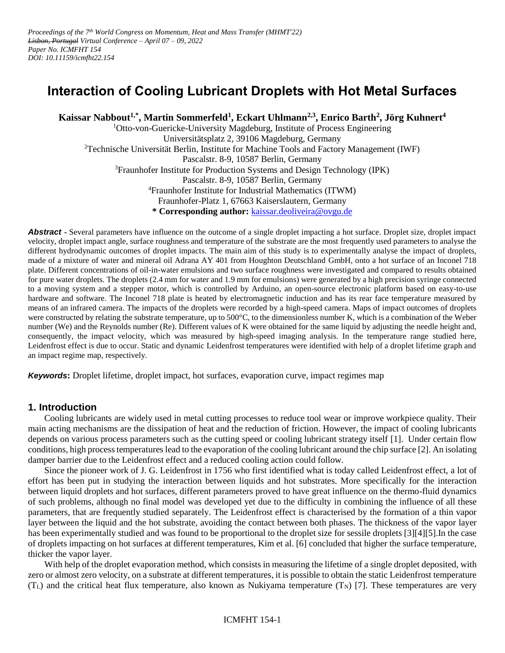# **Interaction of Cooling Lubricant Droplets with Hot Metal Surfaces**

**Kaissar Nabbout1,\*, Martin Sommerfeld<sup>1</sup> , Eckart Uhlmann2,3, Enrico Barth<sup>2</sup> , Jörg Kuhnert<sup>4</sup>**

<sup>1</sup>Otto-von-Guericke-University Magdeburg, Institute of Process Engineering Universitätsplatz 2, 39106 Magdeburg, Germany <sup>2</sup>Technische Universität Berlin, Institute for Machine Tools and Factory Management (IWF) Pascalstr. 8-9, 10587 Berlin, Germany <sup>3</sup>Fraunhofer Institute for Production Systems and Design Technology (IPK) Pascalstr. 8-9, 10587 Berlin, Germany <sup>4</sup>Fraunhofer Institute for Industrial Mathematics (ITWM) Fraunhofer-Platz 1, 67663 Kaiserslautern, Germany **\* Corresponding author:** [kaissar.deoliveira@ovgu.de](mailto:kaissar.deoliveira@ovgu.de)

**Abstract -** Several parameters have influence on the outcome of a single droplet impacting a hot surface. Droplet size, droplet impact velocity, droplet impact angle, surface roughness and temperature of the substrate are the most frequently used parameters to analyse the different hydrodynamic outcomes of droplet impacts. The main aim of this study is to experimentally analyse the impact of droplets, made of a mixture of water and mineral oil Adrana AY 401 from Houghton Deutschland GmbH, onto a hot surface of an Inconel 718 plate. Different concentrations of oil-in-water emulsions and two surface roughness were investigated and compared to results obtained for pure water droplets. The droplets (2.4 mm for water and 1.9 mm for emulsions) were generated by a high precision syringe connected to a moving system and a stepper motor, which is controlled by Arduino, an open-source electronic platform based on easy-to-use hardware and software. The Inconel 718 plate is heated by electromagnetic induction and has its rear face temperature measured by means of an infrared camera. The impacts of the droplets were recorded by a high-speed camera. Maps of impact outcomes of droplets were constructed by relating the substrate temperature, up to 500°C, to the dimensionless number K, which is a combination of the Weber number (We) and the Reynolds number (Re). Different values of K were obtained for the same liquid by adjusting the needle height and, consequently, the impact velocity, which was measured by high-speed imaging analysis. In the temperature range studied here, Leidenfrost effect is due to occur. Static and dynamic Leidenfrost temperatures were identified with help of a droplet lifetime graph and an impact regime map, respectively.

*Keywords***:** Droplet lifetime, droplet impact, hot surfaces, evaporation curve, impact regimes map

### **1. Introduction**

Cooling lubricants are widely used in metal cutting processes to reduce tool wear or improve workpiece quality. Their main acting mechanisms are the dissipation of heat and the reduction of friction. However, the impact of cooling lubricants depends on various process parameters such as the cutting speed or cooling lubricant strategy itself [\[1\].](#page-6-0) Under certain flow conditions, high process temperatures lead to the evaporation of the cooling lubricant around the chip surface [\[2\].](#page-6-1) An isolating damper barrier due to the Leidenfrost effect and a reduced cooling action could follow.

Since the pioneer work of J. G. Leidenfrost in 1756 who first identified what is today called Leidenfrost effect, a lot of effort has been put in studying the interaction between liquids and hot substrates. More specifically for the interaction between liquid droplets and hot surfaces, different parameters proved to have great influence on the thermo-fluid dynamics of such problems, although no final model was developed yet due to the difficulty in combining the influence of all these parameters, that are frequently studied separately. The Leidenfrost effect is characterised by the formation of a thin vapor layer between the liquid and the hot substrate, avoiding the contact between both phases. The thickness of the vapor layer has been experimentally studied and was found to be proportional to the droplet size for sessile droplets [\[3\]](#page-6-2)[\[4\]](#page-6-3)[\[5\].](#page-6-4)In the case of droplets impacting on hot surfaces at different temperatures, Kim et al. [\[6\]](#page-7-0) concluded that higher the surface temperature, thicker the vapor layer.

With help of the droplet evaporation method, which consists in measuring the lifetime of a single droplet deposited, with zero or almost zero velocity, on a substrate at different temperatures, it is possible to obtain the static Leidenfrost temperature  $(T_L)$  and the critical heat flux temperature, also known as Nukiyama temperature  $(T_N)$  [\[7\].](#page-7-1) These temperatures are very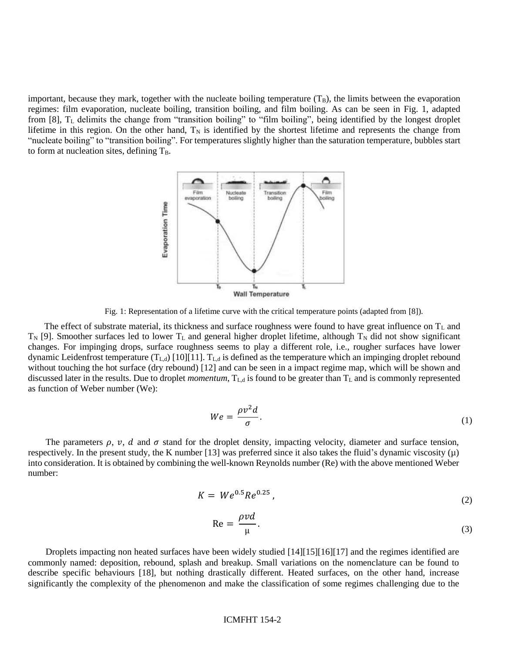important, because they mark, together with the nucleate boiling temperature  $(T<sub>B</sub>)$ , the limits between the evaporation regimes: film evaporation, nucleate boiling, transition boiling, and film boiling. As can be seen in [Fig. 1,](#page-1-0) adapted from  $[8]$ ,  $T_L$  delimits the change from "transition boiling" to "film boiling", being identified by the longest droplet lifetime in this region. On the other hand,  $T_N$  is identified by the shortest lifetime and represents the change from "nucleate boiling" to "transition boiling". For temperatures slightly higher than the saturation temperature, bubbles start to form at nucleation sites, defining  $T_B$ .



Fig. 1: Representation of a lifetime curve with the critical temperature points (adapted from [\[8\]\)](#page-7-2).

<span id="page-1-0"></span>The effect of substrate material, its thickness and surface roughness were found to have great influence on  $T_L$  and  $T_N$  [\[9\].](#page-7-3) Smoother surfaces led to lower  $T_L$  and general higher droplet lifetime, although  $T_N$  did not show significant changes. For impinging drops, surface roughness seems to play a different role, i.e., rougher surfaces have lower dynamic Leidenfrost temperature  $(T_{L,d})$  [\[10\]](#page-7-4)[\[11\].](#page-7-5)  $T_{L,d}$  is defined as the temperature which an impinging droplet rebound without touching the hot surface (dry rebound) [\[12\]](#page-7-6) and can be seen in a impact regime map, which will be shown and discussed later in the results. Due to droplet *momentum*, T<sub>L d</sub> is found to be greater than T<sub>L</sub> and is commonly represented as function of Weber number (We):

$$
We = \frac{\rho v^2 d}{\sigma}.
$$
 (1)

The parameters  $\rho$ ,  $v$ ,  $d$  and  $\sigma$  stand for the droplet density, impacting velocity, diameter and surface tension, respectively. In the present study, the K number [\[13\]](#page-7-7) was preferred since it also takes the fluid's dynamic viscosity  $(\mu)$ into consideration. It is obtained by combining the well-known Reynolds number (Re) with the above mentioned Weber number:

$$
K = We^{0.5}Re^{0.25},
$$
 (2)

$$
\text{Re} = \frac{\rho v d}{\mu}.
$$

Droplets impacting non heated surfaces have been widely studied [\[14\]](#page-7-8)[\[15\]](#page-7-9)[\[16\]](#page-7-10)[\[17\]](#page-7-11) and the regimes identified are commonly named: deposition, rebound, splash and breakup. Small variations on the nomenclature can be found to describe specific behaviours [\[18\],](#page-7-12) but nothing drastically different. Heated surfaces, on the other hand, increase significantly the complexity of the phenomenon and make the classification of some regimes challenging due to the

#### ICMFHT 154-2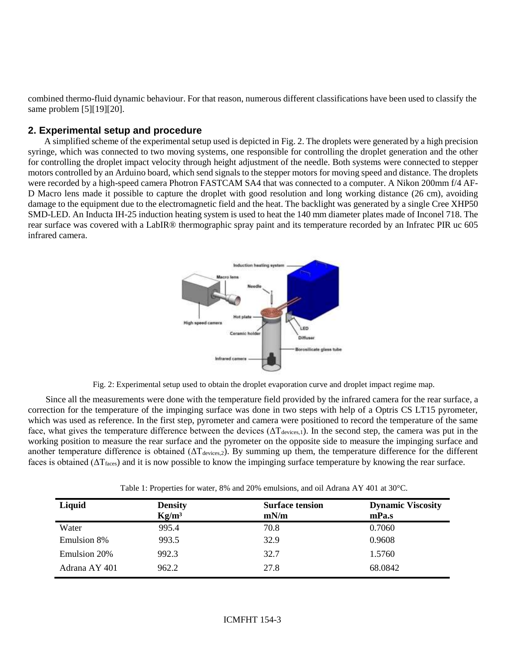combined thermo-fluid dynamic behaviour. For that reason, numerous different classifications have been used to classify the same problem [\[5\]](#page-6-4)[\[19\]](#page-7-13)[\[20\].](#page-7-14)

## **2. Experimental setup and procedure**

A simplified scheme of the experimental setup used is depicted in [Fig. 2.](#page-2-0) The droplets were generated by a high precision syringe, which was connected to two moving systems, one responsible for controlling the droplet generation and the other for controlling the droplet impact velocity through height adjustment of the needle. Both systems were connected to stepper motors controlled by an Arduino board, which send signals to the stepper motors for moving speed and distance. The droplets were recorded by a high-speed camera Photron FASTCAM SA4 that was connected to a computer. A Nikon 200mm f/4 AF-D Macro lens made it possible to capture the droplet with good resolution and long working distance (26 cm), avoiding damage to the equipment due to the electromagnetic field and the heat. The backlight was generated by a single Cree XHP50 SMD-LED. An Inducta IH-25 induction heating system is used to heat the 140 mm diameter plates made of Inconel 718. The rear surface was covered with a LabIR® thermographic spray paint and its temperature recorded by an Infratec PIR uc 605 infrared camera.



Fig. 2: Experimental setup used to obtain the droplet evaporation curve and droplet impact regime map.

<span id="page-2-0"></span>Since all the measurements were done with the temperature field provided by the infrared camera for the rear surface, a correction for the temperature of the impinging surface was done in two steps with help of a Optris CS LT15 pyrometer, which was used as reference. In the first step, pyrometer and camera were positioned to record the temperature of the same face, what gives the temperature difference between the devices  $(\Delta T_{\text{devices},1})$ . In the second step, the camera was put in the working position to measure the rear surface and the pyrometer on the opposite side to measure the impinging surface and another temperature difference is obtained  $(\Delta T_{\text{devices},2})$ . By summing up them, the temperature difference for the different faces is obtained  $(\Delta T_{\text{faces}})$  and it is now possible to know the impinging surface temperature by knowing the rear surface.

<span id="page-2-1"></span>

| Table 1. Properties for water, $\delta\%$ and $20\%$ emulsions, and on Adrama A I 401 at 50 C. |                                     |                                |                                   |
|------------------------------------------------------------------------------------------------|-------------------------------------|--------------------------------|-----------------------------------|
| Liquid                                                                                         | <b>Density</b><br>Kg/m <sup>3</sup> | <b>Surface tension</b><br>mN/m | <b>Dynamic Viscosity</b><br>mPa.s |
| Water                                                                                          | 995.4                               | 70.8                           | 0.7060                            |
| Emulsion 8%                                                                                    | 993.5                               | 32.9                           | 0.9608                            |
| Emulsion 20%                                                                                   | 992.3                               | 32.7                           | 1.5760                            |
| Adrana AY 401                                                                                  | 962.2                               | 27.8                           | 68.0842                           |

Table 1: Properties for water, 8% and 20% emulsions, and oil Adrana AY 401 at 30°C.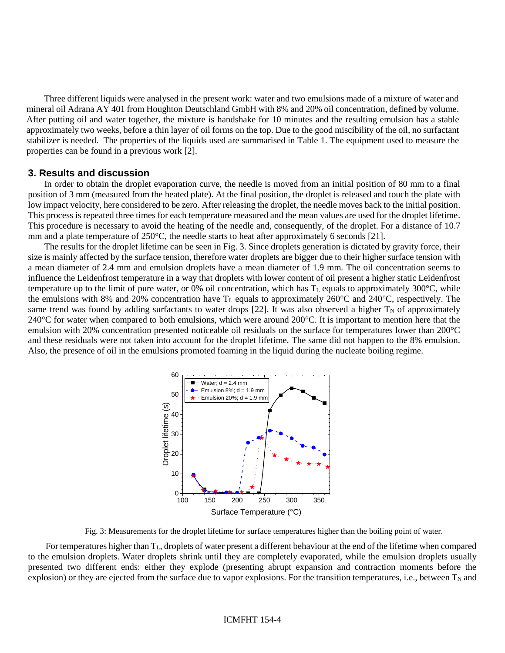Three different liquids were analysed in the present work: water and two emulsions made of a mixture of water and mineral oil Adrana AY 401 from Houghton Deutschland GmbH with 8% and 20% oil concentration, defined by volume. After putting oil and water together, the mixture is handshake for 10 minutes and the resulting emulsion has a stable approximately two weeks, before a thin layer of oil forms on the top. Due to the good miscibility of the oil, no surfactant stabilizer is needed. The properties of the liquids used are summarised in [Table 1.](#page-2-1) The equipment used to measure the properties can be found in a previous work [\[2\].](#page-6-1)

# **3. Results and discussion**

In order to obtain the droplet evaporation curve, the needle is moved from an initial position of 80 mm to a final position of 3 mm (measured from the heated plate). At the final position, the droplet is released and touch the plate with low impact velocity, here considered to be zero. After releasing the droplet, the needle moves back to the initial position. This process is repeated three times for each temperature measured and the mean values are used for the droplet lifetime. This procedure is necessary to avoid the heating of the needle and, consequently, of the droplet. For a distance of 10.7 mm and a plate temperature of 250°C, the needle starts to heat after approximately 6 seconds [\[21\].](#page-7-15)

The results for the droplet lifetime can be seen i[n Fig. 3.](#page-3-0) Since droplets generation is dictated by gravity force, their size is mainly affected by the surface tension, therefore water droplets are bigger due to their higher surface tension with a mean diameter of 2.4 mm and emulsion droplets have a mean diameter of 1.9 mm. The oil concentration seems to influence the Leidenfrost temperature in a way that droplets with lower content of oil present a higher static Leidenfrost temperature up to the limit of pure water, or 0% oil concentration, which has  $T_L$  equals to approximately 300 $^{\circ}$ C, while the emulsions with 8% and 20% concentration have  $T_L$  equals to approximately 260°C and 240°C, respectively. The same trend was found by adding surfactants to water drops [\[22\].](#page-7-16) It was also observed a higher  $T_N$  of approximately 240 $^{\circ}$ C for water when compared to both emulsions, which were around 200 $^{\circ}$ C. It is important to mention here that the emulsion with 20% concentration presented noticeable oil residuals on the surface for temperatures lower than 200°C and these residuals were not taken into account for the droplet lifetime. The same did not happen to the 8% emulsion. Also, the presence of oil in the emulsions promoted foaming in the liquid during the nucleate boiling regime.



Fig. 3: Measurements for the droplet lifetime for surface temperatures higher than the boiling point of water.

<span id="page-3-0"></span>For temperatures higher than  $T_L$ , droplets of water present a different behaviour at the end of the lifetime when compared to the emulsion droplets. Water droplets shrink until they are completely evaporated, while the emulsion droplets usually presented two different ends: either they explode (presenting abrupt expansion and contraction moments before the explosion) or they are ejected from the surface due to vapor explosions. For the transition temperatures, i.e., between  $T_N$  and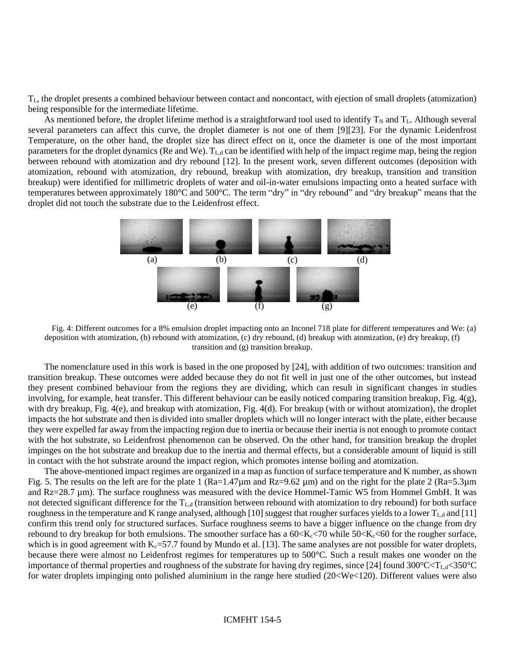TL, the droplet presents a combined behaviour between contact and noncontact, with ejection of small droplets (atomization) being responsible for the intermediate lifetime.

As mentioned before, the droplet lifetime method is a straightforward tool used to identify  $T_N$  and  $T_L$ . Although several several parameters can affect this curve, the droplet diameter is not one of them [\[9\]](#page-7-3)[\[23\].](#page-7-17) For the dynamic Leidenfrost Temperature, on the other hand, the droplet size has direct effect on it, once the diameter is one of the most important parameters for the droplet dynamics (Re and We). TL,d can be identified with help of the impact regime map, being the region between rebound with atomization and dry rebound [\[12\].](#page-7-6) In the present work, seven different outcomes (deposition with atomization, rebound with atomization, dry rebound, breakup with atomization, dry breakup, transition and transition breakup) were identified for millimetric droplets of water and oil-in-water emulsions impacting onto a heated surface with temperatures between approximately 180°C and 500°C. The term "dry" in "dry rebound" and "dry breakup" means that the droplet did not touch the substrate due to the Leidenfrost effect.



<span id="page-4-0"></span>Fig. 4: Different outcomes for a 8% emulsion droplet impacting onto an Inconel 718 plate for different temperatures and We: (a) deposition with atomization, (b) rebound with atomization, (c) dry rebound, (d) breakup with atomization, (e) dry breakup, (f) transition and (g) transition breakup.

The nomenclature used in this work is based in the one proposed by [\[24\],](#page-7-18) with addition of two outcomes: transition and transition breakup. These outcomes were added because they do not fit well in just one of the other outcomes, but instead they present combined behaviour from the regions they are dividing, which can result in significant changes in studies involving, for example, heat transfer. This different behaviour can be easily noticed comparing transition breakup, [Fig. 4\(](#page-4-0)g), with dry breakup, [Fig. 4\(](#page-4-0)e), and breakup with atomization, [Fig. 4\(](#page-4-0)d). For breakup (with or without atomization), the droplet impacts the hot substrate and then is divided into smaller droplets which will no longer interact with the plate, either because they were expelled far away from the impacting region due to inertia or because their inertia is not enough to promote contact with the hot substrate, so Leidenfrost phenomenon can be observed. On the other hand, for transition breakup the droplet impinges on the hot substrate and breakup due to the inertia and thermal effects, but a considerable amount of liquid is still in contact with the hot substrate around the impact region, which promotes intense boiling and atomization.

The above-mentioned impact regimes are organized in a map as function of surface temperature and K number, as shown [Fig. 5.](#page-5-0) The results on the left are for the plate 1  $(Ra=1.47\mu m$  and  $Rz=9.62 \mu m$ ) and on the right for the plate 2  $(Ra=5.3\mu m)$ and Rz=28.7 µm). The surface roughness was measured with the device Hommel-Tamic W5 from Hommel GmbH. It was not detected significant difference for the  $T_{L,d}$  (transition between rebound with atomization to dry rebound) for both surface roughness in the temperature and K range analysed, although [\[10\]](#page-7-4) suggest that rougher surfaces yields to a lower  $T_{\text{L},d}$  an[d \[11\]](#page-7-5) confirm this trend only for structured surfaces. Surface roughness seems to have a bigger influence on the change from dry rebound to dry breakup for both emulsions. The smoother surface has a  $60 \times K_c \times 70$  while  $50 \times K_c \times 60$  for the rougher surface, which is in good agreement with  $K_c = 57.7$  found by Mundo et al. [\[13\].](#page-7-7) The same analyses are not possible for water droplets, because there were almost no Leidenfrost regimes for temperatures up to 500°C. Such a result makes one wonder on the importance of thermal properties and roughness of the substrate for having dry regimes, since [\[24\]](#page-7-18) found  $300^{\circ}C< T_{L,d} < 350^{\circ}C$ for water droplets impinging onto polished aluminium in the range here studied (20<We<120). Different values were also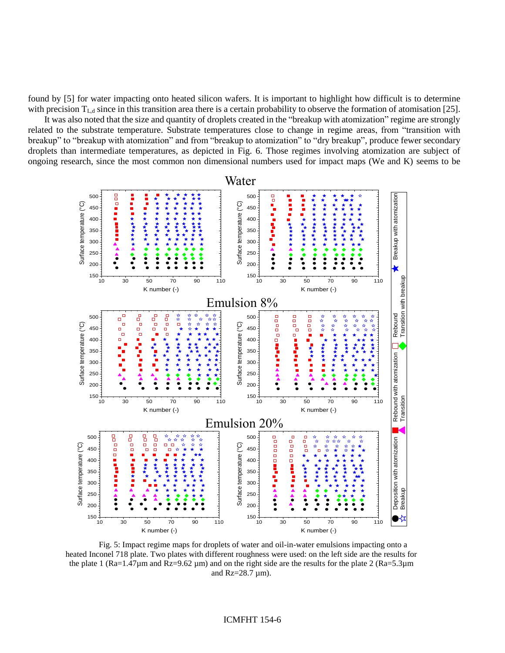found by [\[5\]](#page-6-4) for water impacting onto heated silicon wafers. It is important to highlight how difficult is to determine with precision  $T_{L,d}$  since in this transition area there is a certain probability to observe the formation of atomisation [\[25\].](#page-7-19)

It was also noted that the size and quantity of droplets created in the "breakup with atomization" regime are strongly related to the substrate temperature. Substrate temperatures close to change in regime areas, from "transition with breakup" to "breakup with atomization" and from "breakup to atomization" to "dry breakup", produce fewer secondary droplets than intermediate temperatures, as depicted in [Fig. 6.](#page-6-5) Those regimes involving atomization are subject of ongoing research, since the most common non dimensional numbers used for impact maps (We and K) seems to be



<span id="page-5-0"></span>Fig. 5: Impact regime maps for droplets of water and oil-in-water emulsions impacting onto a heated Inconel 718 plate. Two plates with different roughness were used: on the left side are the results for the plate 1 ( $Ra=1.47\mu$ m and  $Rz=9.62\mu$ m) and on the right side are the results for the plate 2 ( $Ra=5.3\mu$ m and  $Rz=28.7 \mu m$ ).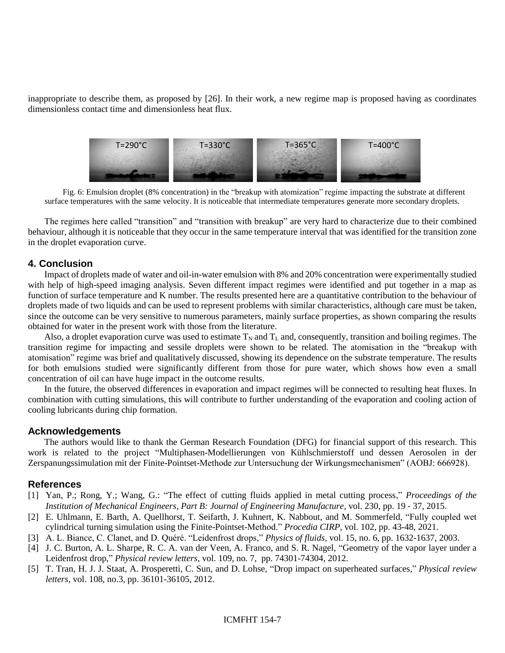inappropriate to describe them, as proposed by [\[26\].](#page-7-20) In their work, a new regime map is proposed having as coordinates dimensionless contact time and dimensionless heat flux.



<span id="page-6-5"></span>Fig. 6: Emulsion droplet (8% concentration) in the "breakup with atomization" regime impacting the substrate at different surface temperatures with the same velocity. It is noticeable that intermediate temperatures generate more secondary droplets.

The regimes here called "transition" and "transition with breakup" are very hard to characterize due to their combined behaviour, although it is noticeable that they occur in the same temperature interval that was identified for the transition zone in the droplet evaporation curve.

# **4. Conclusion**

Impact of droplets made of water and oil-in-water emulsion with 8% and 20% concentration were experimentally studied with help of high-speed imaging analysis. Seven different impact regimes were identified and put together in a map as function of surface temperature and K number. The results presented here are a quantitative contribution to the behaviour of droplets made of two liquids and can be used to represent problems with similar characteristics, although care must be taken, since the outcome can be very sensitive to numerous parameters, mainly surface properties, as shown comparing the results obtained for water in the present work with those from the literature.

Also, a droplet evaporation curve was used to estimate  $T_N$  and  $T_L$  and, consequently, transition and boiling regimes. The transition regime for impacting and sessile droplets were shown to be related. The atomisation in the "breakup with atomisation" regime was brief and qualitatively discussed, showing its dependence on the substrate temperature. The results for both emulsions studied were significantly different from those for pure water, which shows how even a small concentration of oil can have huge impact in the outcome results.

In the future, the observed differences in evaporation and impact regimes will be connected to resulting heat fluxes. In combination with cutting simulations, this will contribute to further understanding of the evaporation and cooling action of cooling lubricants during chip formation.

### **Acknowledgements**

The authors would like to thank the German Research Foundation (DFG) for financial support of this research. This work is related to the project "Multiphasen-Modellierungen von Kühlschmierstoff und dessen Aerosolen in der Zerspanungssimulation mit der Finite-Pointset-Methode zur Untersuchung der Wirkungsmechanismen" (AOBJ: 666928).

### **References**

- <span id="page-6-0"></span>[1] Yan, P.; Rong, Y.; Wang, G.: "The effect of cutting fluids applied in metal cutting process," *Proceedings of the Institution of Mechanical Engineers, Part B: Journal of Engineering Manufacture*, vol. 230, pp. 19 ‑ 37, 2015.
- <span id="page-6-1"></span>[2] E. Uhlmann, E. Barth, A. Quellhorst, T. Seifarth, J. Kuhnert, K. Nabbout, and M. Sommerfeld, "Fully coupled wet cylindrical turning simulation using the Finite-Pointset-Method." *Procedia CIRP*, vol. 102, pp. 43-48, 2021.
- <span id="page-6-2"></span>[3] A. L. Biance, C. Clanet, and D. Quéré. "Leidenfrost drops," *Physics of fluids,* vol. 15, no. 6, pp. 1632-1637, 2003.
- <span id="page-6-3"></span>[4] J. C. Burton, A. L. Sharpe, R. C. A. van der Veen, A. Franco, and S. R. Nagel, "Geometry of the vapor layer under a Leidenfrost drop," *Physical review letters*, vol. 109, no. 7, pp. 74301-74304, 2012.
- <span id="page-6-4"></span>[5] T. Tran, H. J. J. Staat, A. Prosperetti, C. Sun, and D. Lohse, "Drop impact on superheated surfaces," *Physical review letters*, vol. 108, no.3, pp. 36101-36105, 2012.